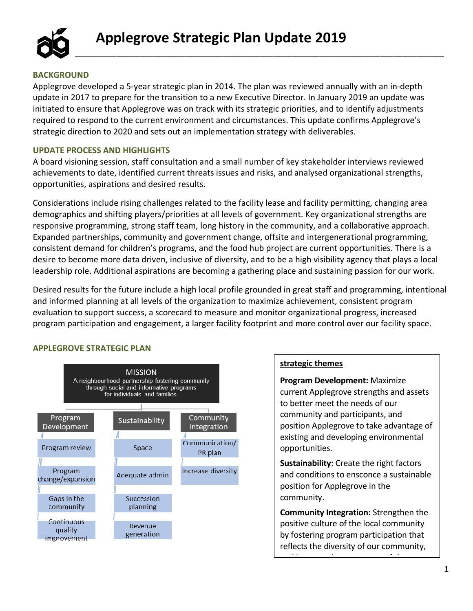

## **BACKGROUND**

Applegrove developed a 5-year strategic plan in 2014. The plan was reviewed annually with an in-depth update in 2017 to prepare for the transition to a new Executive Director. In January 2019 an update was initiated to ensure that Applegrove was on track with its strategic priorities, and to identify adjustments required to respond to the current environment and circumstances. This update confirms Applegrove's strategic direction to 2020 and sets out an implementation strategy with deliverables.

\_\_\_\_\_\_\_\_\_\_\_\_\_\_\_\_\_\_\_\_\_\_\_\_\_\_\_\_\_\_\_\_\_\_\_\_\_\_\_\_\_\_\_\_\_\_\_\_\_\_\_\_\_\_\_\_\_\_\_\_\_\_\_\_\_\_\_\_\_\_\_\_\_\_\_\_\_\_\_\_

## **UPDATE PROCESS AND HIGHLIGHTS**

A board visioning session, staff consultation and a small number of key stakeholder interviews reviewed achievements to date, identified current threats issues and risks, and analysed organizational strengths, opportunities, aspirations and desired results.

Considerations include rising challenges related to the facility lease and facility permitting, changing area demographics and shifting players/priorities at all levels of government. Key organizational strengths are responsive programming, strong staff team, long history in the community, and a collaborative approach. Expanded partnerships, community and government change, offsite and intergenerational programming, consistent demand for children's programs, and the food hub project are current opportunities. There is a desire to become more data driven, inclusive of diversity, and to be a high visibility agency that plays a local leadership role. Additional aspirations are becoming a gathering place and sustaining passion for our work.

Desired results for the future include a high local profile grounded in great staff and programming, intentional and informed planning at all levels of the organization to maximize achievement, consistent program evaluation to support success, a scorecard to measure and monitor organizational progress, increased program participation and engagement, a larger facility footprint and more control over our facility space.

## **APPLEGROVE STRATEGIC PLAN**



## **strategic themes**

**Program Development:** Maximize current Applegrove strengths and assets to better meet the needs of our community and participants, and position Applegrove to take advantage of existing and developing environmental opportunities.

**Sustainability:** Create the right factors and conditions to ensconce a sustainable position for Applegrove in the community.

**Community Integration:** Strengthen the positive culture of the local community by fostering program participation that reflects the diversity of our community,

and increase the awareness of the awareness of the awareness of the awareness of the awareness of the awarenes<br>The awareness of the awareness of the awareness of the awareness of the awareness of the awareness of the aware